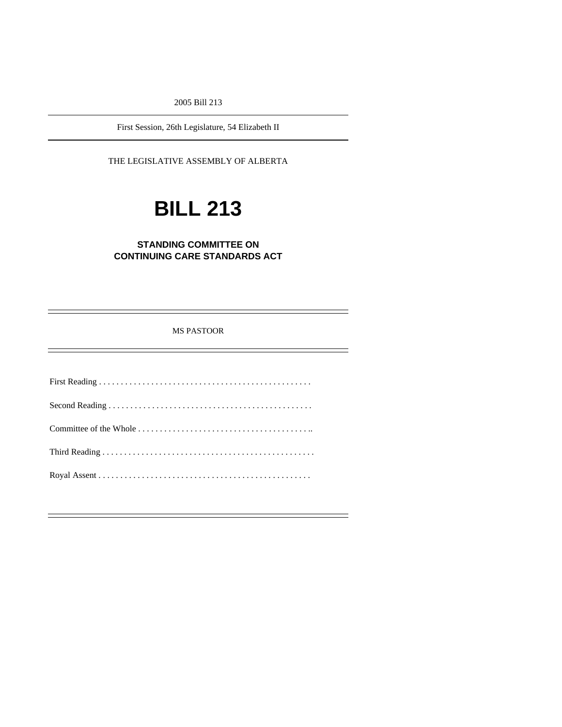2005 Bill 213

First Session, 26th Legislature, 54 Elizabeth II

THE LEGISLATIVE ASSEMBLY OF ALBERTA

# **BILL 213**

## **STANDING COMMITTEE ON CONTINUING CARE STANDARDS ACT**

MS PASTOOR

First Reading . . . . . . . . . . . . . . . . . . . . . . . . . . . . . . . . . . . . . . . . . . . . . . . . . Second Reading . . . . . . . . . . . . . . . . . . . . . . . . . . . . . . . . . . . . . . . . . . . . . . . Committee of the Whole . . . . . . . . . . . . . . . . . . . . . . . . . . . . . . . . . . . . . . . .. Third Reading . . . . . . . . . . . . . . . . . . . . . . . . . . . . . . . . . . . . . . . . . . . . . . . . . Royal Assent . . . . . . . . . . . . . . . . . . . . . . . . . . . . . . . . . . . . . . . . . . . . . . . . .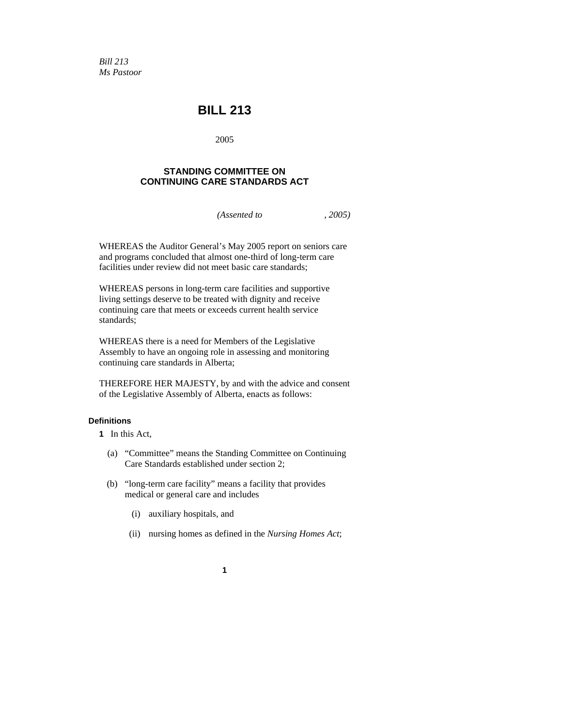*Bill 213 Ms Pastoor* 

# **BILL 213**

2005

# **STANDING COMMITTEE ON CONTINUING CARE STANDARDS ACT**

*(Assented to , 2005)* 

WHEREAS the Auditor General's May 2005 report on seniors care and programs concluded that almost one-third of long-term care facilities under review did not meet basic care standards;

WHEREAS persons in long-term care facilities and supportive living settings deserve to be treated with dignity and receive continuing care that meets or exceeds current health service standards;

WHEREAS there is a need for Members of the Legislative Assembly to have an ongoing role in assessing and monitoring continuing care standards in Alberta;

THEREFORE HER MAJESTY, by and with the advice and consent of the Legislative Assembly of Alberta, enacts as follows:

### **Definitions**

- **1** In this Act,
	- (a) "Committee" means the Standing Committee on Continuing Care Standards established under section 2;
	- (b) "long-term care facility" means a facility that provides medical or general care and includes
		- (i) auxiliary hospitals, and
		- (ii) nursing homes as defined in the *Nursing Homes Act*;

**1**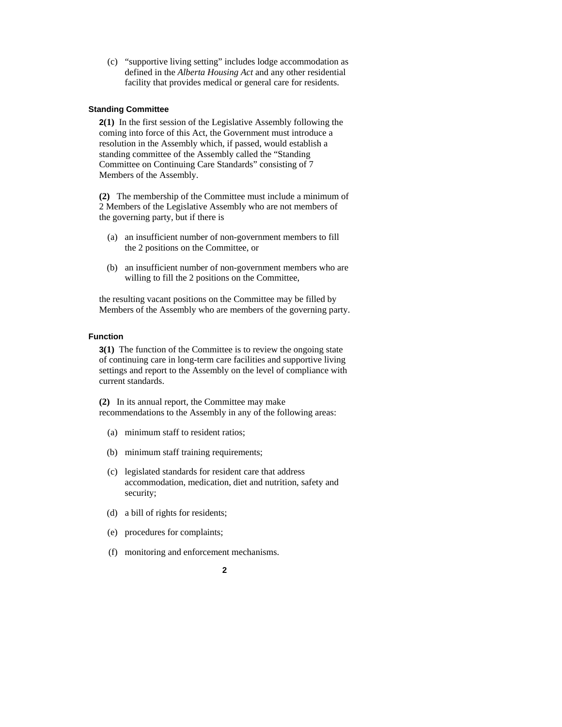(c) "supportive living setting" includes lodge accommodation as defined in the *Alberta Housing Act* and any other residential facility that provides medical or general care for residents.

#### **Standing Committee**

**2(1)** In the first session of the Legislative Assembly following the coming into force of this Act, the Government must introduce a resolution in the Assembly which, if passed, would establish a standing committee of the Assembly called the "Standing Committee on Continuing Care Standards" consisting of 7 Members of the Assembly.

**(2)** The membership of the Committee must include a minimum of 2 Members of the Legislative Assembly who are not members of the governing party, but if there is

- (a) an insufficient number of non-government members to fill the 2 positions on the Committee, or
- (b) an insufficient number of non-government members who are willing to fill the 2 positions on the Committee,

the resulting vacant positions on the Committee may be filled by Members of the Assembly who are members of the governing party.

#### **Function**

**3(1)** The function of the Committee is to review the ongoing state of continuing care in long-term care facilities and supportive living settings and report to the Assembly on the level of compliance with current standards.

**(2)** In its annual report, the Committee may make recommendations to the Assembly in any of the following areas:

- (a) minimum staff to resident ratios;
- (b) minimum staff training requirements;
- (c) legislated standards for resident care that address accommodation, medication, diet and nutrition, safety and security;
- (d) a bill of rights for residents;
- (e) procedures for complaints;
- (f) monitoring and enforcement mechanisms.
	- **2**